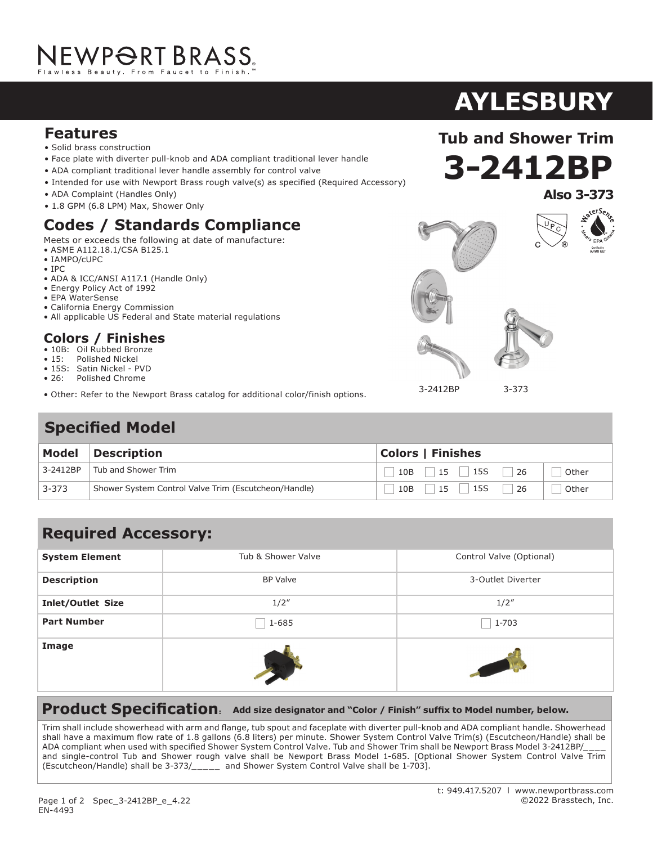#### **Features**

- Solid brass construction
- Face plate with diverter pull-knob and ADA compliant traditional lever handle
- ADA compliant traditional lever handle assembly for control valve
- Intended for use with Newport Brass rough valve(s) as specified (Required Accessory)
- ADA Complaint (Handles Only)
- 1.8 GPM (6.8 LPM) Max, Shower Only

## **Codes / Standards Compliance**

Meets or exceeds the following at date of manufacture:

- ASME A112.18.1/CSA B125.1
- IAMPO/cUPC
- IPC

EN-4493

- ADA & ICC/ANSI A117.1 (Handle Only)
- Energy Policy Act of 1992
- EPA WaterSense
- California Energy Commission
- All applicable US Federal and State material regulations

#### **Colors / Finishes**

- 10B: Oil Rubbed Bronze
- 15: Polished Nickel
- 15S: Satin Nickel PVD
- 26: Polished Chrome
- Other: Refer to the Newport Brass catalog for additional color/finish options.

## **Specified Model**



### **Required Accessory:**

| <b>System Element</b>    | Tub & Shower Valve | Control Valve (Optional) |
|--------------------------|--------------------|--------------------------|
| <b>Description</b>       | <b>BP Valve</b>    | 3-Outlet Diverter        |
| <b>Inlet/Outlet Size</b> | 1/2''              | 1/2''                    |
| <b>Part Number</b>       | 1-685              | $1 - 703$                |
| Image                    |                    | STATISTICS IN THE        |

#### **Product Specification: Add size designator and "Color / Finish" suffix to Model number, below.**

Trim shall include showerhead with arm and flange, tub spout and faceplate with diverter pull-knob and ADA compliant handle. Showerhead shall have a maximum flow rate of 1.8 gallons (6.8 liters) per minute. Shower System Control Valve Trim(s) (Escutcheon/Handle) shall be ADA compliant when used with specified Shower System Control Valve. Tub and Shower Trim shall be Newport Brass Model 3-2412BP/ and single-control Tub and Shower rough valve shall be Newport Brass Model 1-685. [Optional Shower System Control Valve Trim (Escutcheon/Handle) shall be 3-373/\_\_\_\_\_ and Shower System Control Valve shall be 1-703].

**Tub and Shower Trim**





3-2412BP

3-373